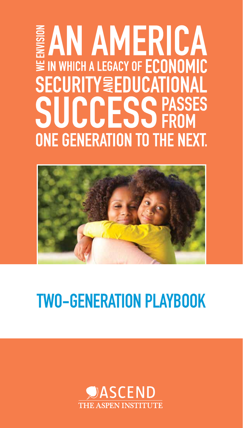# **EAN AMERICA** ₩ IN WHICH A LEGACY OF ECONOMIC **SECURITY & EDUCATIONAL SUCCESS PASSES ONE GENERATION TO THE NEXT.**



### TWO-GENERATION PLAYBOOK

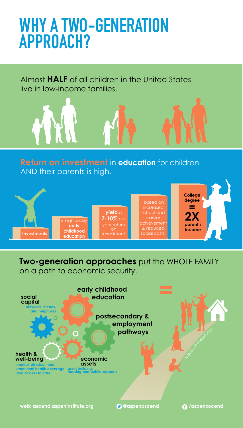### WHY A TWO-GENERATION APPROACH?

Almost **HALF** of all children in the United States live in low-income families.





**Two-generation approaches** put the WHOLE FAMILY on a path to economic security.

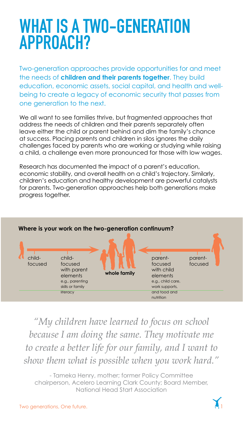### WHAT IS A TWO-GENERATION APPROACH?

Two-generation approaches provide opportunities for and meet the needs of **children and their parents together**. They build education, economic assets, social capital, and health and wellbeing to create a legacy of economic security that passes from one generation to the next.

We all want to see families thrive, but fragmented approaches that address the needs of children and their parents separately often leave either the child or parent behind and dim the family's chance at success. Placing parents and children in silos ignores the daily challenges faced by parents who are working or studying while raising a child, a challenge even more pronounced for those with low wages.

Research has documented the impact of a parent's education, economic stability, and overall health on a child's trajectory. Similarly, children's education and healthy development are powerful catalysts for parents. Two-generation approaches help both generations make progress together.



#### **Where is your work on the two-generation continuum?**

*"My children have learned to focus on school because I am doing the same. They motivate me to create a better life for our family, and I want to show them what is possible when you work hard."*

- Tameka Henry, mother; former Policy Committee chairperson, Acelero Learning Clark County; Board Member, National Head Start Association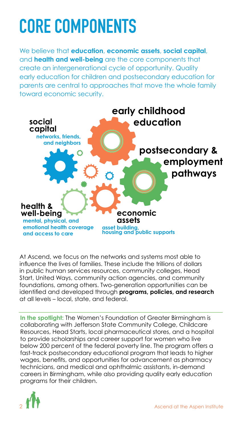## CORE COMPONENTS

We believe that **education**, **economic assets**, **social capital**, and **health and well-being** are the core components that create an intergenerational cycle of opportunity. Quality early education for children and postsecondary education for parents are central to approaches that move the whole family toward economic security.



At Ascend, we focus on the networks and systems most able to influence the lives of families. These include the trillions of dollars in public human services resources, community colleges, Head Start, United Ways, community action agencies, and community foundations, among others. Two-generation opportunities can be identified and developed through **programs, policies, and research** at all levels – local, state, and federal.

**In the spotlight:** The Women's Foundation of Greater Birmingham is collaborating with Jefferson State Community College, Childcare Resources, Head Starts, local pharmaceutical stores, and a hospital to provide scholarships and career support for women who live below 200 percent of the federal poverty line. The program offers a fast-track postsecondary educational program that leads to higher wages, benefits, and opportunities for advancement as pharmacy technicians, and medical and ophthalmic assistants, in-demand careers in Birmingham, while also providing quality early education programs for their children.

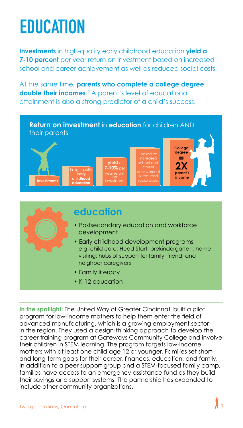### EDUCATION

**Investments** in high-quality early childhood education **yield a 7-10 percent** per year return on investment based on increased school and career achievement as well as reduced social costs.<sup>1</sup>

At the same time, **parents who complete a college degree double their incomes.**<sup>2</sup> A parent's level of educational attainment is also a strong predictor of a child's success.





#### **education**

- Postsecondary education and workforce development
- Early childhood development programs e.g. child care; Head Start; prekindergarten; home visiting; hubs of support for family, friend, and neighbor caregivers
- Family literacy
- K-12 education

**In the spotlight:** The United Way of Greater Cincinnati built a pilot program for low-income mothers to help them enter the field of advanced manufacturing, which is a growing employment sector in the region. They used a design-thinking approach to develop the career training program at Gateways Community College and involve their children in STEM learning. The program targets low-income mothers with at least one child age 12 or younger. Families set shortand long-term goals for their career, finances, education, and family. In addition to a peer support group and a STEM-focused family camp, families have access to an emergency assistance fund as they build their savings and support systems. The partnership has expanded to include other community organizations.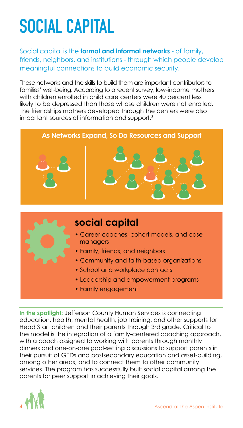## SOCIAL CAPITAL

Social capital is the **formal and informal networks** - of family, friends, neighbors, and institutions - through which people develop meaningful connections to build economic security.

These networks and the skills to build them are important contributors to families' well-being. According to a recent survey, low-income mothers with children enrolled in child care centers were 40 percent less likely to be depressed than those whose children were not enrolled. The friendships mothers developed through the centers were also important sources of information and support.3





### **social capital**

- Career coaches, cohort models, and case managers
- Family, friends, and neighbors
- Community and faith-based organizations
- School and workplace contacts
- Leadership and empowerment programs
- Family engagement

**In the spotlight:** Jefferson County Human Services is connecting education, health, mental health, job training, and other supports for Head Start children and their parents through 3rd grade. Critical to the model is the integration of a family-centered coaching approach, with a coach assigned to working with parents through monthly dinners and one-on-one goal-setting discussions to support parents in their pursuit of GEDs and postsecondary education and asset-building, among other areas, and to connect them to other community services. The program has successfully built social capital among the parents for peer support in achieving their goals.

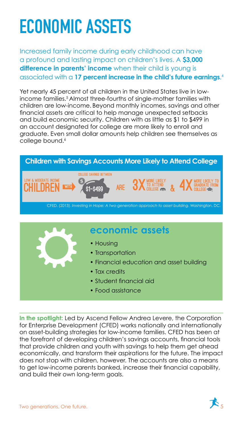## ECONOMIC ASSETS

Increased family income during early childhood can have a profound and lasting impact on children's lives. A **\$3,000 difference in parents' income** when their child is young is associated with a **17 percent increase in the child's future earnings**. 4

and build economic security. Children with as little as \$1 to \$499 in an account designated for college are more likely to enroll and aduate Even small dellar amounts belp objeton see themselves as graduate. Even small dollar amounts help children see themselves as  $\blacksquare$ college bound.6 $\blacksquare$ children are low-income. Beyond monthly incomes, savings and other Yet nearly 45 percent of all children in the United States live in lowincome families.<sup>5</sup> Almost three-fourths of single-mother families with financial assets are critical to help manage unexpected setbacks





**In the spotlight:** Led by Ascend Fellow Andrea Levere, the Corporation for Enterprise Development (CFED) works nationally and internationally on asset-building strategies for low-income families. CFED has been at the forefront of developing children's savings accounts, financial tools that provide children and youth with savings to help them get ahead economically, and transform their aspirations for the future. The impact does not stop with children, however. The accounts are also a means to get low-income parents banked, increase their financial capability, and build their own long-term goals. n **the spotlight:** Led by Ascend Fellow Andrea Levere, the Corporation potential to increase the presence and reach of CSAs exponentially over the next few years.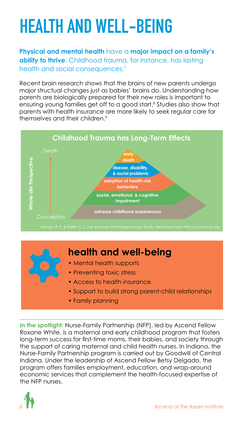# HEALTH AND WELL-BEING

**Physical and mental health** have a **major impact on a family's ability to thrive**. Childhood trauma, for instance, has lasting health and social consequences.<sup>7</sup>

Recent brain research shows that the brains of new parents undergo major structual changes just as babies' brains do. Understanding how parents are biologically prepared for their new roles is important to ensuring young families get off to a good start.<sup>8</sup> Studies also show that parents with health insurance are more likely to seek regular care for themselves and their children.9



#### **health and well-being** • Mental health supports • Preventing toxic stress • Access to health insurance • Support to build strong parent-child relationships • Family planning

**In the spotlight:** Nurse-Family Partnership (NFP), led by Ascend Fellow Roxane White, is a maternal and early childhood program that fosters long-term success for first-time moms, their babies, and society through the support of caring maternal and child health nurses. In Indiana, the Nurse-Family Partnership program is carried out by Goodwill of Central Indiana. Under the leadership of Ascend Fellow Betsy Delgado, the program offers families employment, education, and wrap-around economic services that complement the health-focused expertise of the NFP nurses.

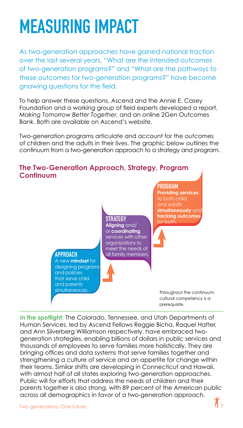### MEASURING IMPACT

As two-generation approaches have gained national traction over the last several years, "What are the intended outcomes of two-generation programs?" and "What are the pathways to these outcomes for two-generation programs?" have become gnawing questions for the field.

To help answer these questions, Ascend and the Annie E. Casey Foundation and a working group of field experts developed a report, *Making Tomorrow Better Together,* and an online 2Gen Outcomes Bank. Both are available on Ascend's website.

Two-generation programs articulate and account for the outcomes of children and the adults in their lives. The graphic below outlines the continuum from a two-generation approach to a strategy and program.



**In the spotlight:** The Colorado, Tennessee, and Utah Departments of Human Services, led by Ascend Fellows Reggie Bicha, Raquel Hatter, and Ann Silverberg Williamson respectively, have embraced twogeneration strategies, enabling billions of dollars in public services and thousands of employees to serve families more holistically. They are bringing offices and data systems that serve families together and strengthening a culture of service and an appetite for change within their teams. Similar shifts are developing in Connecticut and Hawaii, with almost half of all states exploring two-generation approaches. Public will for efforts that address the needs of children and their parents together is also strong, with 89 percent of the American public across all demographics in favor of a two-generation approach.

Two generations, One future.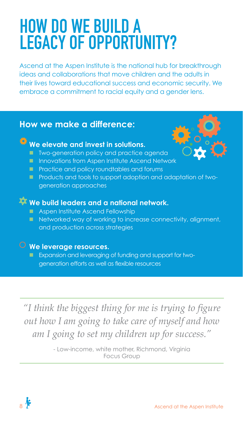### HOW DO WE BUILD A LEGACY OF OPPORTUNITY?

Ascend at the Aspen Institute is the national hub for breakthrough ideas and collaborations that move children and the adults in their lives toward educational success and economic security. We embrace a commitment to racial equity and a gender lens.

#### **How we make a difference:**

### **We elevate and invest in solutions.**

- **Theory Findmin state is a Theory and practice agenda**
- **Innovations from Aspen Institute Ascend Network**
- **Practice and policy roundtables and forums**
- **Products and tools to support adoption and adaptation of two**generation approaches

#### **We build leaders and a national network.**

- **Aspen Institute Ascend Fellowship**
- Networked way of working to increase connectivity, alignment, and production across strategies

#### **We leverage resources.**

**Expansion and leveraging of funding and support for two**generation efforts as well as flexible resources

*"I think the biggest thing for me is trying to figure out how I am going to take care of myself and how am I going to set my children up for success."*

> - Low-income, white mother, Richmond, Virginia Focus Group

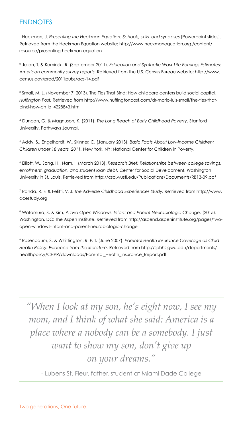#### **ENDNOTES**

<sup>1</sup> Heckman, J. Presenting the Heckman Equation: Schools, skills, and synapses [Powerpoint slides]. Retrieved from the Heckman Equation website: http://www.heckmanequation.org./content/ resource/presenting-heckman-equation

2 Julian, T. & Kominski, R. (September 2011). *Education and Synthetic Work-Life Earnings Estimates: American community survey reports.* Retrieved from the U.S. Census Bureau website: http://www. census.gov/prod/2011pubs/acs-14.pdf

3 Small, M. L. (November 7, 2013). The Ties That Bind: How childcare centers build social capital. *Huffington Post.* Retrieved from http://www.huffingtonpost.com/dr-mario-luis-small/the-ties-thatbind-how-ch\_b\_4228843.html

4 Duncan, G. & Magnuson, K. (2011). *The Long Reach of Early Childhood Poverty*. Stanford University. Pathways Journal.

5 Addy, S., Engelhardt, W., Skinner, C. (January 2013). *Basic Facts About Low-Income Children: Children under 18 years, 2011.* New York, NY: National Center for Children in Poverty.

6 Elliott, W., Song, H., Nam, I. (March 2013). *Research Brief: Relationships between college savings, enrollment, graduation, and student loan debt.* Center for Social Development, Washington University in St. Louis. Retrieved from http://csd.wustl.edu/Publications/Documents/RB13-09.pdf

7 Randa, R. F. & Felitti, V. J. *The Adverse Childhood Experiences Study.* Retrieved from http://www. acestudy.org

<sup>8</sup> Watamura, S. & Kim, P. *Two Open Windows: Infant and Parent Neurobiologic Change. (2015).* Washington, DC: The Aspen Institute. Retrieved from http://ascend.aspeninstitute.org/pages/twoopen-windows-infant-and-parent-neurobiologic-change

9 Rosenbaum, S. & Whittington, R. P. T. (June 2007). *Parental Health Insurance Coverage as Child Health Policy: Evidence from the literature.* Retrieved from http://sphhs.gwu.edu/departments/ healthpolicy/CHPR/downloads/Parental\_Health\_Insurance\_Report.pdf

*"When I look at my son, he's eight now, I see my mom, and I think of what she said: America is a place where a nobody can be a somebody. I just want to show my son, don't give up on your dreams."*

- Lubens St. Fleur, father, student at Miami Dade College